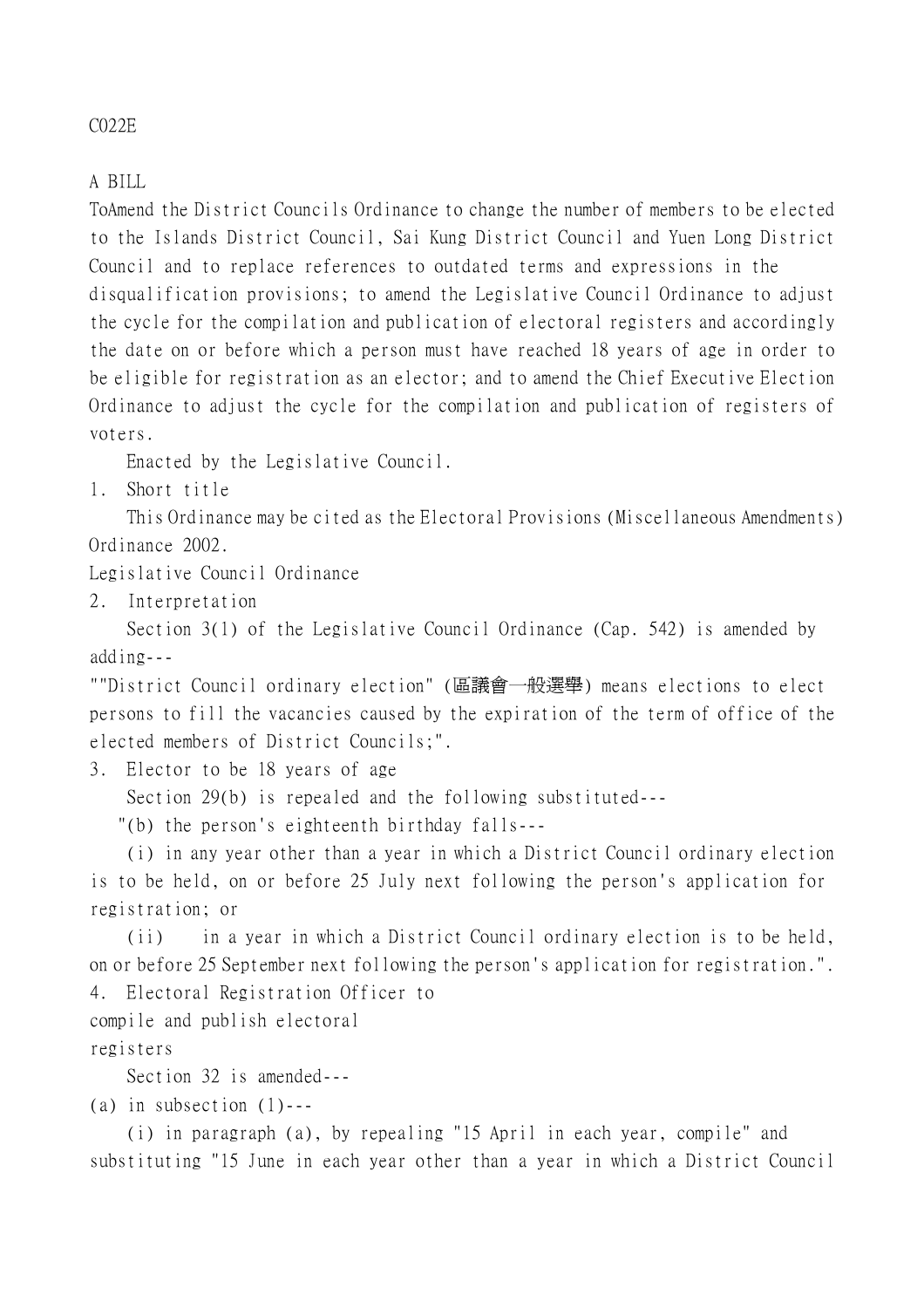## C022E

## A BILL

ToAmend the District Councils Ordinance to change the number of members to be elected to the Islands District Council, Sai Kung District Council and Yuen Long District Council and to replace references to outdated terms and expressions in the disqualification provisions; to amend the Legislative Council Ordinance to adjust the cycle for the compilation and publication of electoral registers and accordingly the date on or before which a person must have reached 18 years of age in order to be eligible for registration as an elector; and to amend the Chief Executive Election Ordinance to adjust the cycle for the compilation and publication of registers of voters.

Enacted by the Legislative Council.

1. Short title

This Ordinance may be cited as the Electoral Provisions (Miscellaneous Amendments) Ordinance 2002.

Legislative Council Ordinance

2. Interpretation

Section 3(1) of the Legislative Council Ordinance (Cap. 542) is amended by adding---

""District Council ordinary election" (區議會㆒般選舉) means elections to elect persons to fill the vacancies caused by the expiration of the term of office of the elected members of District Councils;".

3. Elector to be 18 years of age

Section 29(b) is repealed and the following substituted---

"(b) the person's eighteenth birthday falls---

(i) in any year other than a year in which a District Council ordinary election is to be held, on or before 25 July next following the person's application for registration; or

(ii) in a year in which a District Council ordinary election is to be held, on or before 25 September next following the person's application for registration.". 4. Electoral Registration Officer to

compile and publish electoral

registers

Section 32 is amended---

(a) in subsection  $(1)$ ---

(i) in paragraph (a), by repealing "15 April in each year, compile" and substituting "15 June in each year other than a year in which a District Council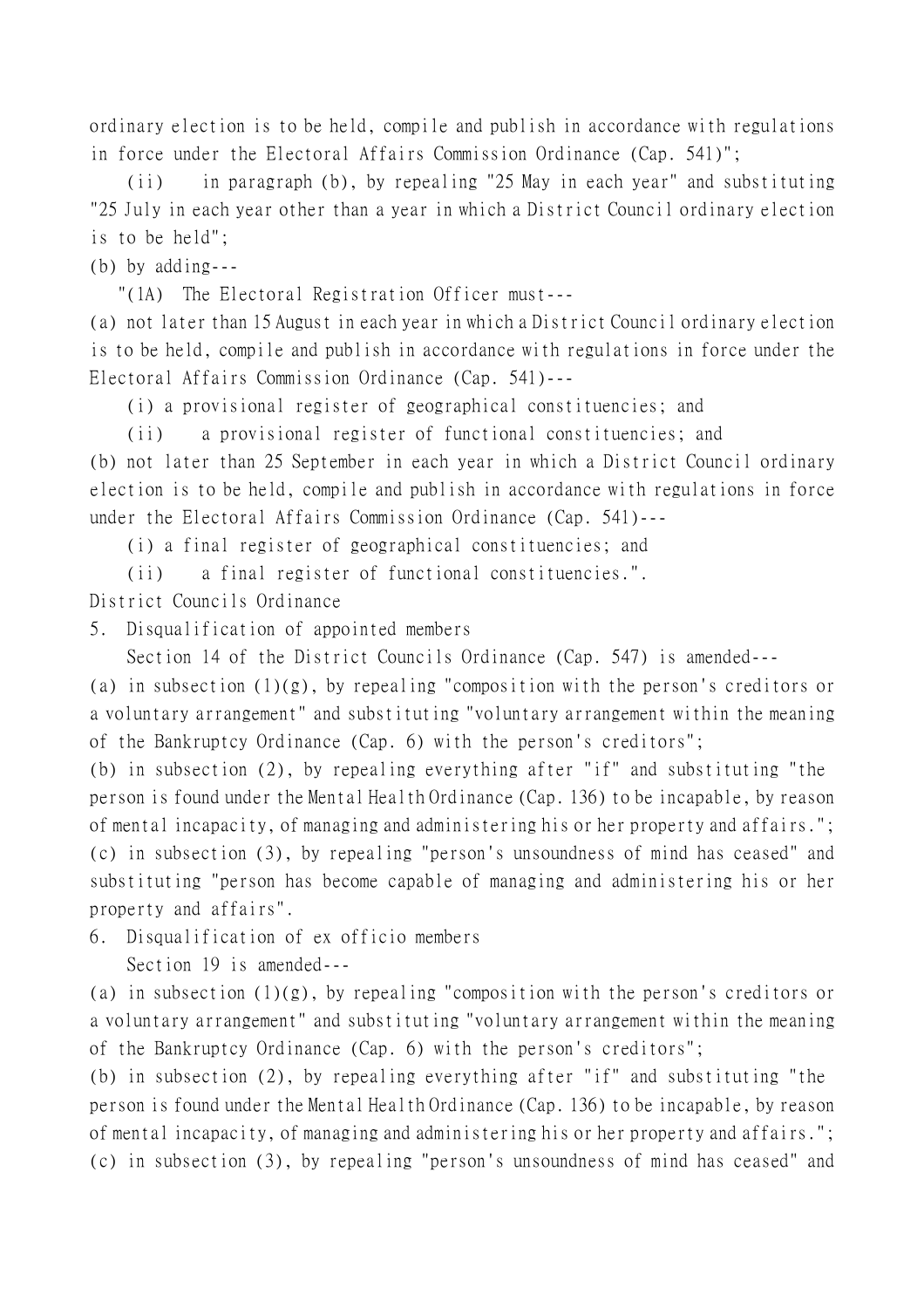ordinary election is to be held, compile and publish in accordance with regulations in force under the Electoral Affairs Commission Ordinance (Cap. 541)";

(ii) in paragraph (b), by repealing "25 May in each year" and substituting "25 July in each year other than a year in which a District Council ordinary election is to be held";

(b) by adding---

"(1A) The Electoral Registration Officer must---

(a) not later than 15 August in each year in which a District Council ordinary election is to be held, compile and publish in accordance with regulations in force under the Electoral Affairs Commission Ordinance (Cap. 541)---

(i) a provisional register of geographical constituencies; and

(ii) a provisional register of functional constituencies; and (b) not later than 25 September in each year in which a District Council ordinary election is to be held, compile and publish in accordance with regulations in force under the Electoral Affairs Commission Ordinance (Cap. 541)---

(i) a final register of geographical constituencies; and

(ii) a final register of functional constituencies.".

District Councils Ordinance

5. Disqualification of appointed members

Section 14 of the District Councils Ordinance (Cap. 547) is amended---

(a) in subsection  $(1)(g)$ , by repealing "composition with the person's creditors or a voluntary arrangement" and substituting "voluntary arrangement within the meaning of the Bankruptcy Ordinance (Cap. 6) with the person's creditors";

(b) in subsection (2), by repealing everything after "if" and substituting "the person is found under the Mental Health Ordinance (Cap. 136) to be incapable, by reason of mental incapacity, of managing and administering his or her property and affairs."; (c) in subsection (3), by repealing "person's unsoundness of mind has ceased" and substituting "person has become capable of managing and administering his or her property and affairs".

6. Disqualification of ex officio members

Section 19 is amended---

(a) in subsection (1)(g), by repealing "composition with the person's creditors or a voluntary arrangement" and substituting "voluntary arrangement within the meaning of the Bankruptcy Ordinance (Cap. 6) with the person's creditors";

(b) in subsection (2), by repealing everything after "if" and substituting "the person is found under the Mental Health Ordinance (Cap. 136) to be incapable, by reason of mental incapacity, of managing and administering his or her property and affairs."; (c) in subsection (3), by repealing "person's unsoundness of mind has ceased" and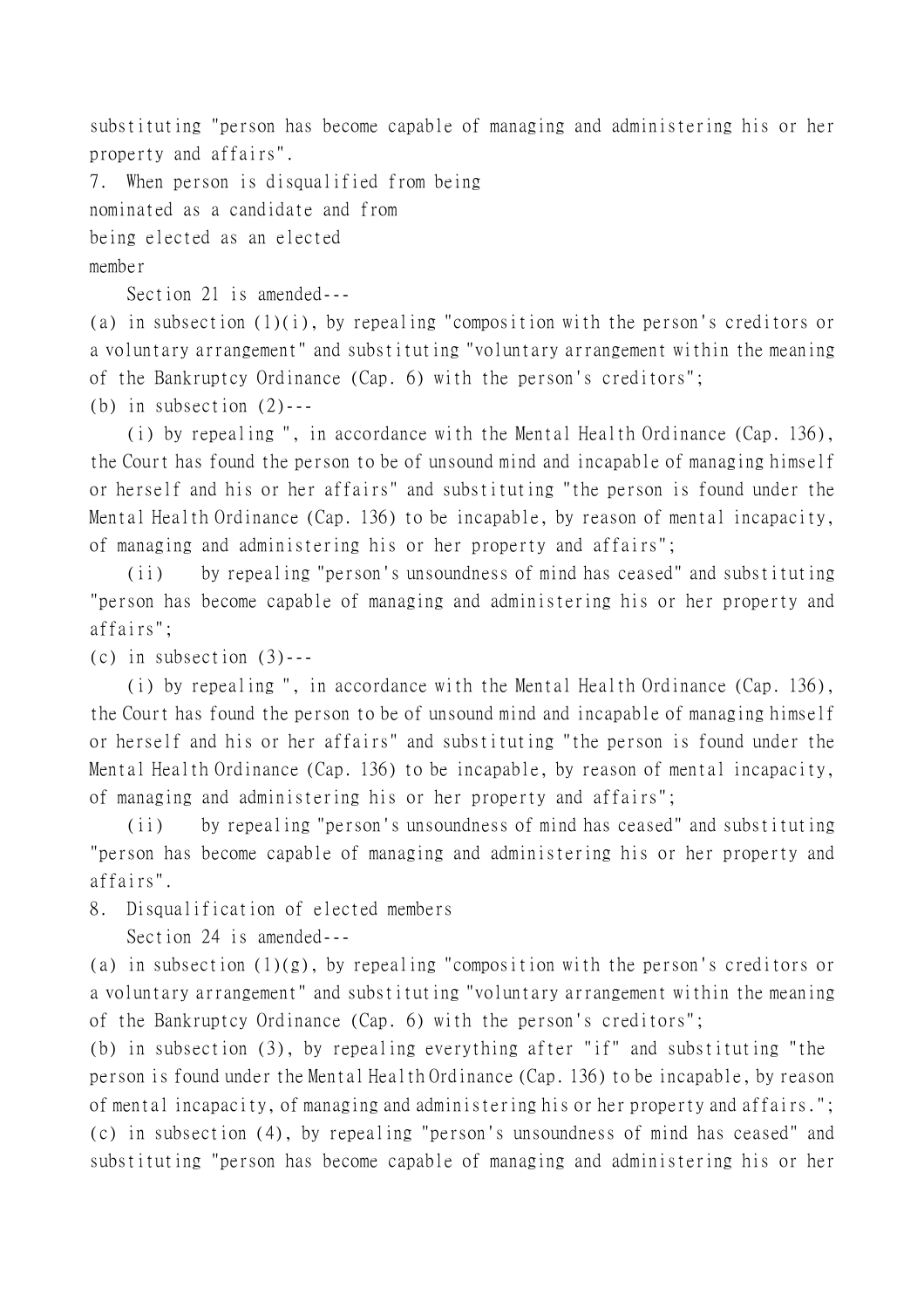substituting "person has become capable of managing and administering his or her property and affairs".

7. When person is disqualified from being nominated as a candidate and from being elected as an elected member

Section 21 is amended---

(a) in subsection  $(1)(i)$ , by repealing "composition with the person's creditors or a voluntary arrangement" and substituting "voluntary arrangement within the meaning of the Bankruptcy Ordinance (Cap. 6) with the person's creditors";

(b) in subsection  $(2)$ ---

(i) by repealing ", in accordance with the Mental Health Ordinance (Cap. 136), the Court has found the person to be of unsound mind and incapable of managing himself or herself and his or her affairs" and substituting "the person is found under the Mental Health Ordinance (Cap. 136) to be incapable, by reason of mental incapacity, of managing and administering his or her property and affairs";

(ii) by repealing "person's unsoundness of mind has ceased" and substituting "person has become capable of managing and administering his or her property and affairs";

(c) in subsection  $(3)$ ---

(i) by repealing ", in accordance with the Mental Health Ordinance (Cap. 136), the Court has found the person to be of unsound mind and incapable of managing himself or herself and his or her affairs" and substituting "the person is found under the Mental Health Ordinance (Cap. 136) to be incapable, by reason of mental incapacity, of managing and administering his or her property and affairs";

(ii) by repealing "person's unsoundness of mind has ceased" and substituting "person has become capable of managing and administering his or her property and affairs".

8. Disqualification of elected members

Section 24 is amended---

(a) in subsection  $(1)(g)$ , by repealing "composition with the person's creditors or a voluntary arrangement" and substituting "voluntary arrangement within the meaning of the Bankruptcy Ordinance (Cap. 6) with the person's creditors";

(b) in subsection (3), by repealing everything after "if" and substituting "the person is found under the Mental Health Ordinance (Cap. 136) to be incapable, by reason of mental incapacity, of managing and administering his or her property and affairs."; (c) in subsection (4), by repealing "person's unsoundness of mind has ceased" and substituting "person has become capable of managing and administering his or her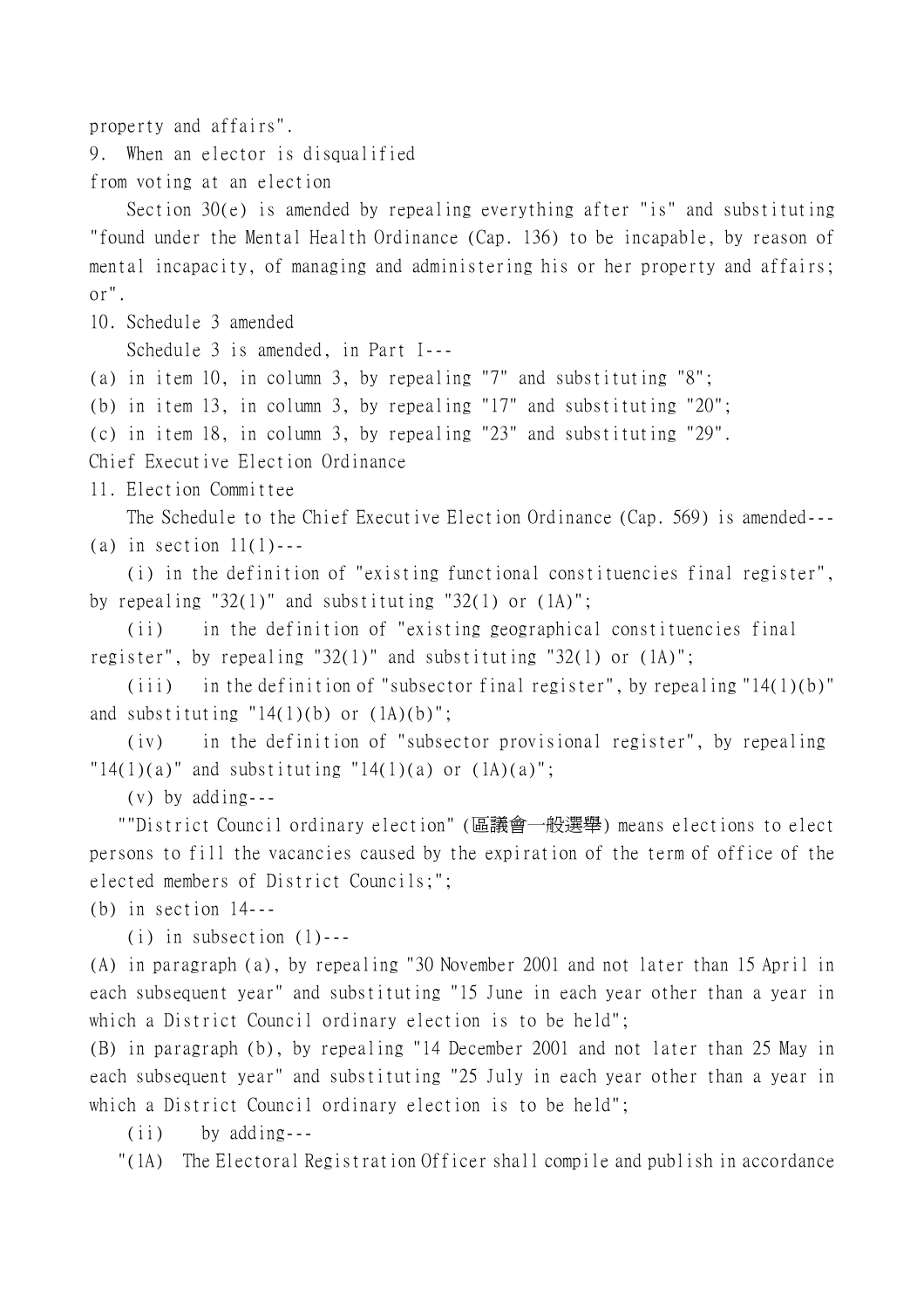property and affairs".

9. When an elector is disqualified

from voting at an election

Section 30(e) is amended by repealing everything after "is" and substituting "found under the Mental Health Ordinance (Cap. 136) to be incapable, by reason of mental incapacity, of managing and administering his or her property and affairs; or".

10. Schedule 3 amended

Schedule 3 is amended, in Part I---

(a) in item 10, in column 3, by repealing "7" and substituting "8";

(b) in item 13, in column 3, by repealing "17" and substituting "20";

(c) in item 18, in column 3, by repealing "23" and substituting "29".

Chief Executive Election Ordinance

11. Election Committee

The Schedule to the Chief Executive Election Ordinance (Cap. 569) is amended--- (a) in section  $11(1)$ ---

(i) in the definition of "existing functional constituencies final register", by repealing "32(1)" and substituting "32(1) or  $(1A)$ ";

(ii) in the definition of "existing geographical constituencies final register", by repealing "32(1)" and substituting "32(1) or (1A)";

(iii) in the definition of "subsector final register", by repealing "14(1)(b)" and substituting "14 $(1)(b)$  or  $(1A)(b)$ ";

(iv) in the definition of "subsector provisional register", by repealing  $"14(1)(a)"$  and substituting  $"14(1)(a)$  or  $(1A)(a)"$ ;

(v) by adding---

 ""District Council ordinary election" (區議會㆒般選舉) means elections to elect persons to fill the vacancies caused by the expiration of the term of office of the elected members of District Councils;";

(b) in section 14---

 $(i)$  in subsection  $(1)$ ---

(A) in paragraph (a), by repealing "30 November 2001 and not later than 15 April in each subsequent year" and substituting "15 June in each year other than a year in which a District Council ordinary election is to be held";

(B) in paragraph (b), by repealing "14 December 2001 and not later than 25 May in each subsequent year" and substituting "25 July in each year other than a year in which a District Council ordinary election is to be held";

(ii) by adding---

"(1A) The Electoral Registration Officer shall compile and publish in accordance